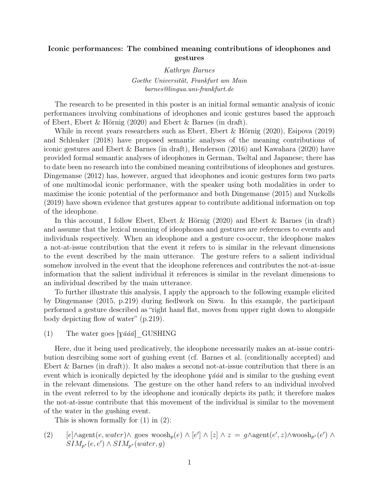## Iconic performances: The combined meaning contributions of ideophones and gestures

Kathryn Barnes Goethe Universität, Frankfurt am Main barnes@lingua.uni-frankfurt.de

The research to be presented in this poster is an initial formal semantic analysis of iconic performances involving combinations of ideophones and iconic gestures based the approach of Ebert, Ebert & Hörnig (2020) and Ebert & Barnes (in draft).

While in recent years researchers such as Ebert, Ebert & Hörnig (2020), Esipova (2019) and Schlenker (2018) have proposed semantic analyses of the meaning contributions of iconic gestures and Ebert & Barnes (in draft), Henderson (2016) and Kawahara (2020) have provided formal semantic analyses of ideophones in German, Tseltal and Japanese; there has to date been no research into the combined meaning contributions of ideophones and gestures. Dingemanse (2012) has, however, argued that ideophones and iconic gestures form two parts of one multimodal iconic performance, with the speaker using both modalities in order to maximise the iconic potential of the performance and both Dingemanse (2015) and Nuckolls (2019) have shown evidence that gestures appear to contribute additional information on top of the ideophone.

In this account, I follow Ebert, Ebert & Hörnig (2020) and Ebert & Barnes (in draft) and assume that the lexical meaning of ideophones and gestures are references to events and individuals respectively. When an ideophone and a gesture co-occur, the ideophone makes a not-at-issue contribution that the event it refers to is similar in the relevant dimensions to the event described by the main utterance. The gesture refers to a salient individual somehow involved in the event that the ideophone references and contributes the not-at-issue information that the salient individual it references is similar in the revelant dimensions to an individual described by the main utterance.

To further illustrate this analysis, I apply the approach to the following example elicited by Dingemanse (2015, p.219) during fiedlwork on Siwu. In this example, the participant performed a gesture described as "right hand flat, moves from upper right down to alongside body depicting flow of water" (p.219).

(1) The water goes  $[\text{yááá}]$  GUSHING

Here, due it being used predicatively, the ideophone necessarily makes an at-issue contribution desrcibing some sort of gushing event (cf. Barnes et al. (conditionally accepted) and Ebert & Barnes (in draft)). It also makes a second not-at-issue contribution that there is an event which is iconically depicted by the ideophone  $y \acute{a} \acute{a} \acute{a}$  and is similar to the gushing event in the relevant dimensions. The gesture on the other hand refers to an individual involved in the event referred to by the ideophone and iconically depicts its path; it therefore makes the not-at-issue contribute that this movement of the individual is similar to the movement of the water in the gushing event.

This is shown formally for  $(1)$  in  $(2)$ :

(2)  $[e] \wedge \text{agent}(e, water) \wedge \text{goes } \text{woosh}_p(e) \wedge [e'] \wedge [z] \wedge z = g \wedge \text{agent}(e', z) \wedge \text{woosh}_{p^*}(e') \wedge \text{goes } \text{woosh}_p(z)$  $SIM_{p^*}(e, e') \wedge SIM_{p^*}(water, g)$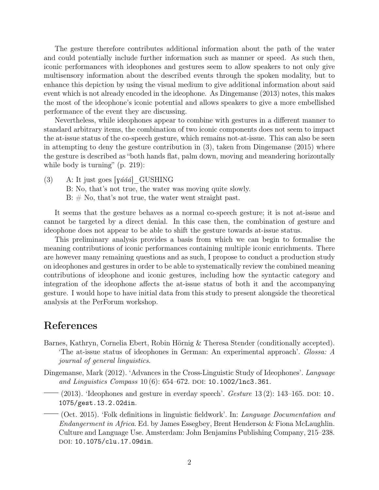The gesture therefore contributes additional information about the path of the water and could potentially include further information such as manner or speed. As such then, iconic performances with ideophones and gestures seem to allow speakers to not only give multisensory information about the described events through the spoken modality, but to enhance this depiction by using the visual medium to give additional information about said event which is not already encoded in the ideophone. As Dingemanse (2013) notes, this makes the most of the ideophone's iconic potential and allows speakers to give a more embellished performance of the event they are discussing.

Nevertheless, while ideophones appear to combine with gestures in a different manner to standard arbitrary items, the combination of two iconic components does not seem to impact the at-issue status of the co-speech gesture, which remains not-at-issue. This can also be seen in attempting to deny the gesture contribution in (3), taken from Dingemanse (2015) where the gesture is described as "both hands flat, palm down, moving and meandering horizontally while body is turning" (p. 219):

(3) A: It just goes  $[\text{yááá}]$  GUSHING B: No, that's not true, the water was moving quite slowly.  $B: \# No$ , that's not true, the water went straight past.

It seems that the gesture behaves as a normal co-speech gesture; it is not at-issue and cannot be targeted by a direct denial. In this case then, the combination of gesture and ideophone does not appear to be able to shift the gesture towards at-issue status.

This preliminary analysis provides a basis from which we can begin to formalise the meaning contributions of iconic performances containing multiple iconic enrichments. There are however many remaining questions and as such, I propose to conduct a production study on ideophones and gestures in order to be able to systematically review the combined meaning contributions of ideophone and iconic gestures, including how the syntactic category and integration of the ideophone affects the at-issue status of both it and the accompanying gesture. I would hope to have initial data from this study to present alongside the theoretical analysis at the PerForum workshop.

## References

- Barnes, Kathryn, Cornelia Ebert, Robin Hörnig & Theresa Stender (conditionally accepted). 'The at-issue status of ideophones in German: An experimental approach'. Glossa: A journal of general linguistics.
- Dingemanse, Mark (2012). 'Advances in the Cross-Linguistic Study of Ideophones'. Language and Linguistics Compass  $10(6)$ : 654–672. DOI: 10.1002/1nc3.361.
- $(2013)$ . 'Ideophones and gesture in everday speech'. Gesture 13(2): 143–165. DOI: 10. 1075/gest.13.2.02din.
- $(1)$  (Oct. 2015). 'Folk definitions in linguistic fieldwork'. In: *Language Documentation and* Endangerment in Africa. Ed. by James Essegbey, Brent Henderson & Fiona McLaughlin. Culture and Language Use. Amsterdam: John Benjamins Publishing Company, 215–238. doi: 10.1075/clu.17.09din.